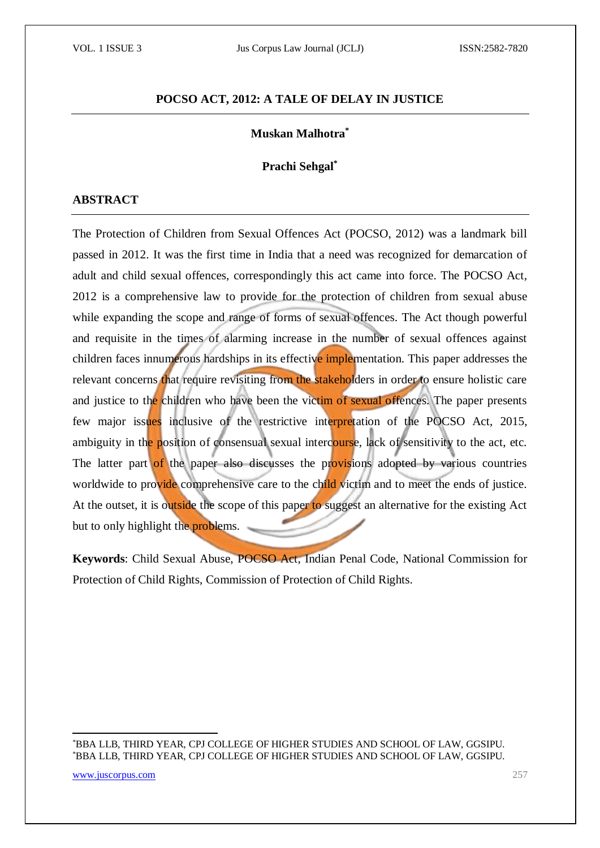### **POCSO ACT, 2012: A TALE OF DELAY IN JUSTICE**

#### **Muskan Malhotra\***

#### **Prachi Sehgal\***

#### **ABSTRACT**

The Protection of Children from Sexual Offences Act (POCSO, 2012) was a landmark bill passed in 2012. It was the first time in India that a need was recognized for demarcation of adult and child sexual offences, correspondingly this act came into force. The POCSO Act, 2012 is a comprehensive law to provide for the protection of children from sexual abuse while expanding the scope and range of forms of sexual offences. The Act though powerful and requisite in the times of alarming increase in the number of sexual offences against children faces innumerous hardships in its effective implementation. This paper addresses the relevant concerns that require revisiting from the stakeholders in order to ensure holistic care and justice to the children who have been the victim of sexual offences. The paper presents few major issues inclusive of the restrictive interpretation of the POCSO Act, 2015, ambiguity in the position of consensual sexual intercourse, lack of sensitivity to the act, etc. The latter part of the paper also discusses the provisions adopted by various countries worldwide to provide comprehensive care to the child victim and to meet the ends of justice. At the outset, it is outside the scope of this paper to suggest an alternative for the existing Act but to only highlight the **problems**.

**Keywords**: Child Sexual Abuse, POCSO Act, Indian Penal Code, National Commission for Protection of Child Rights, Commission of Protection of Child Rights.

\*BBA LLB, THIRD YEAR, CPJ COLLEGE OF HIGHER STUDIES AND SCHOOL OF LAW, GGSIPU. \*BBA LLB, THIRD YEAR, CPJ COLLEGE OF HIGHER STUDIES AND SCHOOL OF LAW, GGSIPU.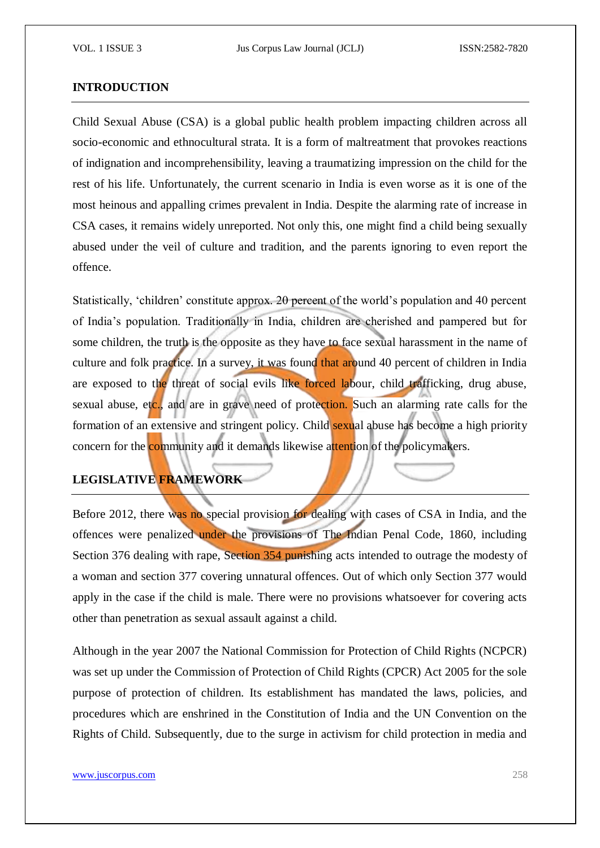#### **INTRODUCTION**

Child Sexual Abuse (CSA) is a global public health problem impacting children across all socio-economic and ethnocultural strata. It is a form of maltreatment that provokes reactions of indignation and incomprehensibility, leaving a traumatizing impression on the child for the rest of his life. Unfortunately, the current scenario in India is even worse as it is one of the most heinous and appalling crimes prevalent in India. Despite the alarming rate of increase in CSA cases, it remains widely unreported. Not only this, one might find a child being sexually abused under the veil of culture and tradition, and the parents ignoring to even report the offence.

Statistically, 'children' constitute approx. 20 percent of the world's population and 40 percent of India's population. Traditionally in India, children are cherished and pampered but for some children, the truth is the opposite as they have to face sexual harassment in the name of culture and folk practice. In a survey, it was found that around 40 percent of children in India are exposed to the threat of social evils like forced labour, child trafficking, drug abuse, sexual abuse, etc., and are in grave need of protection. Such an alarming rate calls for the formation of an extensive and stringent policy. Child sexual abuse has become a high priority concern for the community and it demands likewise attention of the policymakers.

## **LEGISLATIVE FRAMEWORK**

Before 2012, there was no special provision for dealing with cases of CSA in India, and the offences were penalized under the provisions of The Indian Penal Code, 1860, including Section 376 dealing with rape, Section 354 punishing acts intended to outrage the modesty of a woman and section 377 covering unnatural offences. Out of which only Section 377 would apply in the case if the child is male. There were no provisions whatsoever for covering acts other than penetration as sexual assault against a child.

Although in the year 2007 the National Commission for Protection of Child Rights (NCPCR) was set up under the Commission of Protection of Child Rights (CPCR) Act 2005 for the sole purpose of protection of children. Its establishment has mandated the laws, policies, and procedures which are enshrined in the Constitution of India and the UN Convention on the Rights of Child. Subsequently, due to the surge in activism for child protection in media and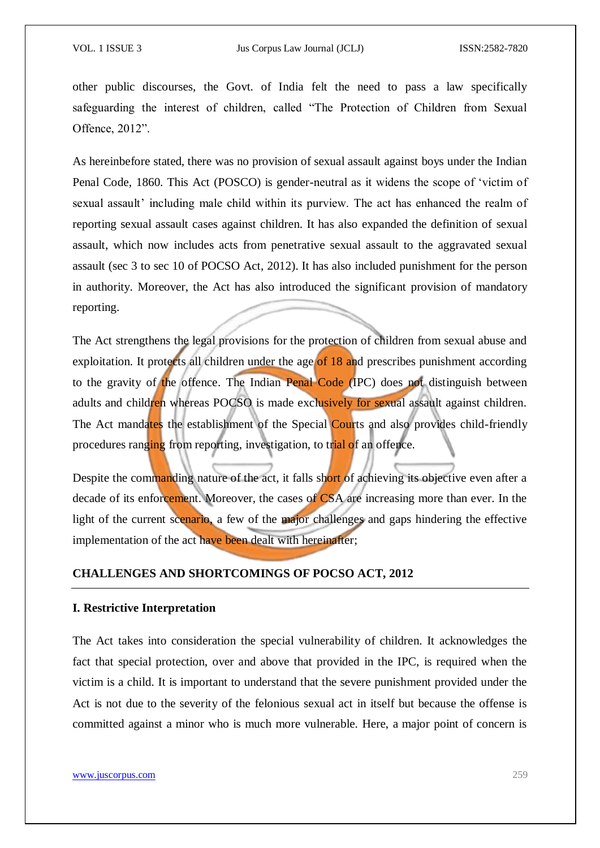other public discourses, the Govt. of India felt the need to pass a law specifically safeguarding the interest of children, called "The Protection of Children from Sexual Offence, 2012".

As hereinbefore stated, there was no provision of sexual assault against boys under the Indian Penal Code, 1860. This Act (POSCO) is gender-neutral as it widens the scope of 'victim of sexual assault' including male child within its purview. The act has enhanced the realm of reporting sexual assault cases against children. It has also expanded the definition of sexual assault, which now includes acts from penetrative sexual assault to the aggravated sexual assault (sec 3 to sec 10 of POCSO Act, 2012). It has also included punishment for the person in authority. Moreover, the Act has also introduced the significant provision of mandatory reporting.

The Act strengthens the legal provisions for the protection of children from sexual abuse and exploitation. It protects all children under the age of 18 and prescribes punishment according to the gravity of the offence. The Indian Penal Code (IPC) does not distinguish between adults and children whereas POCSO is made exclusively for sexual assault against children. The Act mandates the establishment of the Special Courts and also provides child-friendly procedures ranging from reporting, investigation, to trial of an offence.

Despite the commanding nature of the act, it falls short of achieving its objective even after a decade of its enforcement. Moreover, the cases of CSA are increasing more than ever. In the light of the current scenario, a few of the major challenges and gaps hindering the effective implementation of the act have been dealt with hereinafter;

#### **CHALLENGES AND SHORTCOMINGS OF POCSO ACT, 2012**

#### **I. Restrictive Interpretation**

The Act takes into consideration the special vulnerability of children. It acknowledges the fact that special protection, over and above that provided in the IPC, is required when the victim is a child. It is important to understand that the severe punishment provided under the Act is not due to the severity of the felonious sexual act in itself but because the offense is committed against a minor who is much more vulnerable. Here, a major point of concern is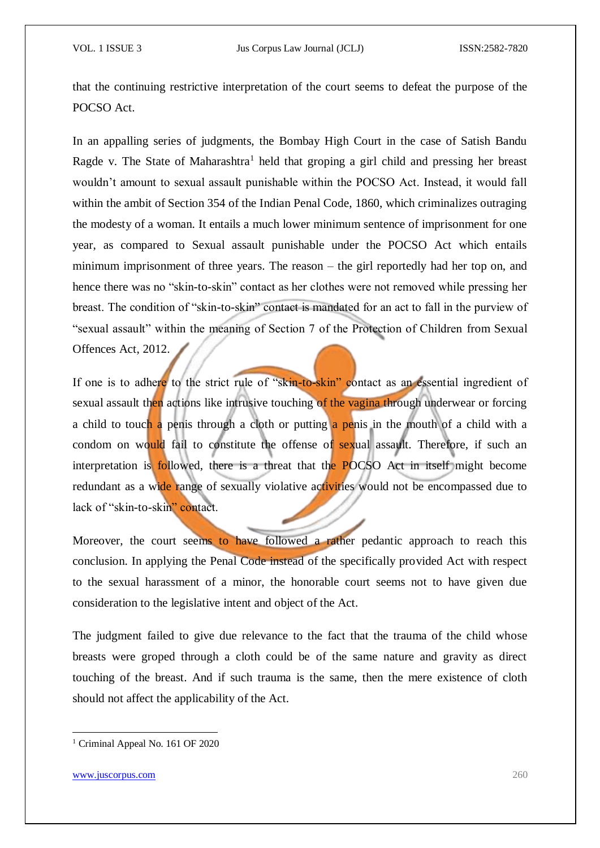that the continuing restrictive interpretation of the court seems to defeat the purpose of the POCSO Act.

In an appalling series of judgments, the Bombay High Court in the case of Satish Bandu Ragde v. The State of Maharashtra<sup>1</sup> held that groping a girl child and pressing her breast wouldn't amount to sexual assault punishable within the POCSO Act. Instead, it would fall within the ambit of Section 354 of the Indian Penal Code, 1860, which criminalizes outraging the modesty of a woman. It entails a much lower minimum sentence of imprisonment for one year, as compared to Sexual assault punishable under the POCSO Act which entails minimum imprisonment of three years. The reason – the girl reportedly had her top on, and hence there was no "skin-to-skin" contact as her clothes were not removed while pressing her breast. The condition of "skin-to-skin" contact is mandated for an act to fall in the purview of "sexual assault" within the meaning of Section 7 of the Protection of Children from Sexual Offences Act, 2012.

If one is to adhere to the strict rule of "skin-to-skin" contact as an essential ingredient of sexual assault then actions like intrusive touching of the vagina through underwear or forcing a child to touch a penis through a cloth or putting a penis in the mouth of a child with a condom on would fail to constitute the offense of sexual assault. Therefore, if such an interpretation is followed, there is a threat that the POCSO Act in itself might become redundant as a wide range of sexually violative activities would not be encompassed due to lack of "skin-to-skin" contact.

Moreover, the court seems to have followed a rather pedantic approach to reach this conclusion. In applying the Penal Code instead of the specifically provided Act with respect to the sexual harassment of a minor, the honorable court seems not to have given due consideration to the legislative intent and object of the Act.

The judgment failed to give due relevance to the fact that the trauma of the child whose breasts were groped through a cloth could be of the same nature and gravity as direct touching of the breast. And if such trauma is the same, then the mere existence of cloth should not affect the applicability of the Act.

<sup>&</sup>lt;sup>1</sup> Criminal Appeal No. 161 OF 2020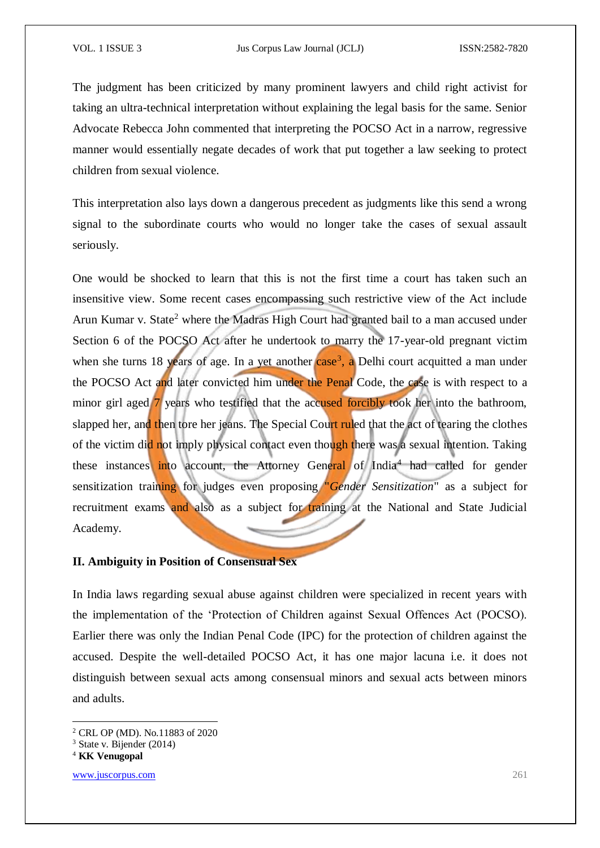The judgment has been criticized by many prominent lawyers and child right activist for taking an ultra-technical interpretation without explaining the legal basis for the same. Senior Advocate Rebecca John commented that interpreting the POCSO Act in a narrow, regressive manner would essentially negate decades of work that put together a law seeking to protect children from sexual violence.

This interpretation also lays down a dangerous precedent as judgments like this send a wrong signal to the subordinate courts who would no longer take the cases of sexual assault seriously.

One would be shocked to learn that this is not the first time a court has taken such an insensitive view. Some recent cases encompassing such restrictive view of the Act include Arun Kumar v. State<sup>2</sup> where the Madras High Court had granted bail to a man accused under Section 6 of the POCSO Act after he undertook to marry the 17-year-old pregnant victim when she turns 18 years of age. In a yet another case<sup>3</sup>, a Delhi court acquitted a man under the POCSO Act and later convicted him under the Penal Code, the case is with respect to a minor girl aged 7 years who testified that the accused forcibly took her into the bathroom, slapped her, and then tore her jeans. The Special Court ruled that the act of tearing the clothes of the victim did not imply physical contact even though there was a sexual intention. Taking these instances into account, the Attorney General of India<sup>4</sup> had called for gender sensitization training for judges even proposing "*Gender Sensitization*" as a subject for recruitment exams and also as a subject for training at the National and State Judicial Academy.

### **II. Ambiguity in Position of Consensual Sex**

In India laws regarding sexual abuse against children were specialized in recent years with the implementation of the 'Protection of Children against Sexual Offences Act (POCSO). Earlier there was only the Indian Penal Code (IPC) for the protection of children against the accused. Despite the well-detailed POCSO Act, it has one major lacuna i.e. it does not distinguish between sexual acts among consensual minors and sexual acts between minors and adults.

-

www.juscorpus.com 261

<sup>2</sup> CRL OP (MD). No.11883 of 2020

<sup>3</sup> State v. Bijender (2014)

<sup>4</sup> **KK Venugopal**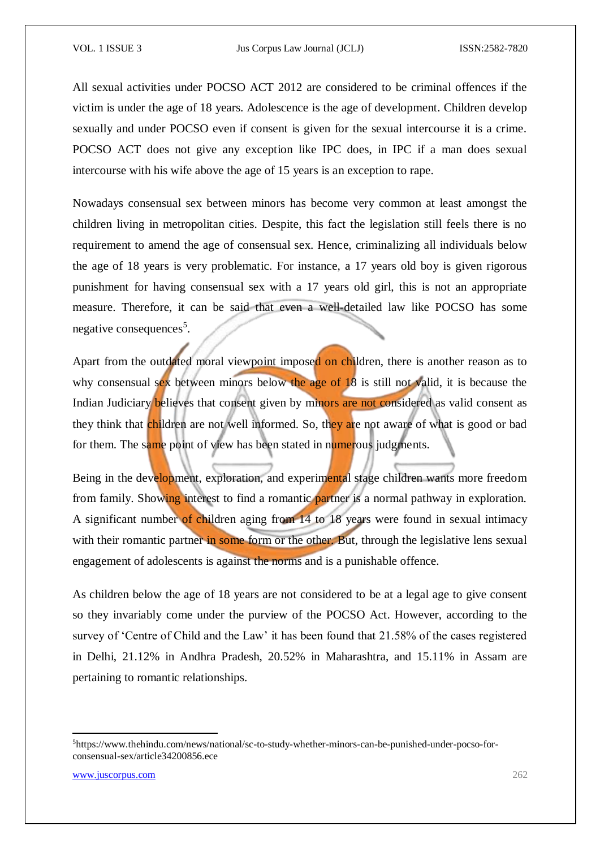All sexual activities under POCSO ACT 2012 are considered to be criminal offences if the victim is under the age of 18 years. Adolescence is the age of development. Children develop sexually and under POCSO even if consent is given for the sexual intercourse it is a crime. POCSO ACT does not give any exception like IPC does, in IPC if a man does sexual intercourse with his wife above the age of 15 years is an exception to rape.

Nowadays consensual sex between minors has become very common at least amongst the children living in metropolitan cities. Despite, this fact the legislation still feels there is no requirement to amend the age of consensual sex. Hence, criminalizing all individuals below the age of 18 years is very problematic. For instance, a 17 years old boy is given rigorous punishment for having consensual sex with a 17 years old girl, this is not an appropriate measure. Therefore, it can be said that even a well-detailed law like POCSO has some negative consequences<sup>5</sup>.

Apart from the outdated moral viewpoint imposed on children, there is another reason as to why consensual sex between minors below the age of 18 is still not valid, it is because the Indian Judiciary believes that consent given by minors are not considered as valid consent as they think that children are not well informed. So, they are not aware of what is good or bad for them. The same point of view has been stated in numerous judgments.

Being in the development, exploration, and experimental stage children wants more freedom from family. Showing interest to find a romantic partner is a normal pathway in exploration. A significant number of children aging from 14 to 18 years were found in sexual intimacy with their romantic partner in some form or the other. But, through the legislative lens sexual engagement of adolescents is against the norms and is a punishable offence.

As children below the age of 18 years are not considered to be at a legal age to give consent so they invariably come under the purview of the POCSO Act. However, according to the survey of 'Centre of Child and the Law' it has been found that 21.58% of the cases registered in Delhi, 21.12% in Andhra Pradesh, 20.52% in Maharashtra, and 15.11% in Assam are pertaining to romantic relationships.

<sup>5</sup>https://www.thehindu.com/news/national/sc-to-study-whether-minors-can-be-punished-under-pocso-forconsensual-sex/article34200856.ece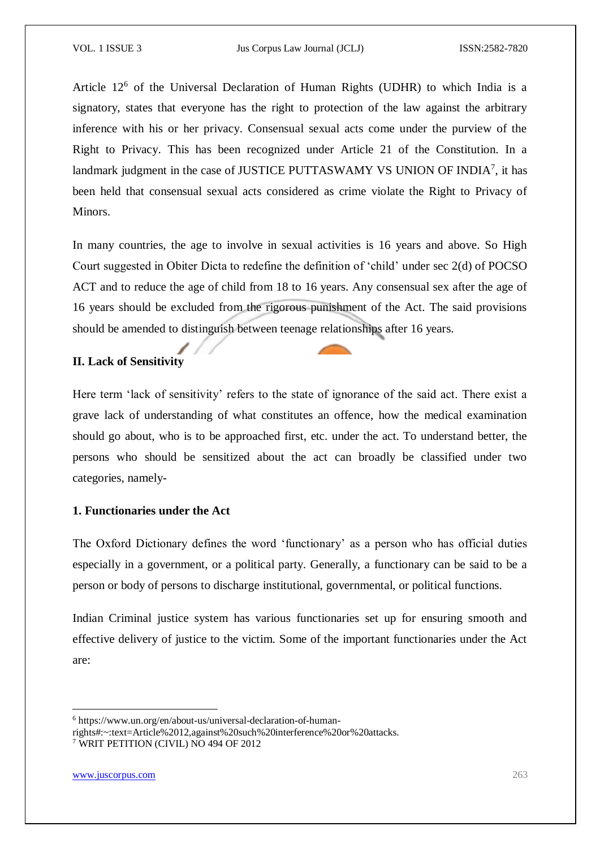Article 12<sup>6</sup> of the Universal Declaration of Human Rights (UDHR) to which India is a signatory, states that everyone has the right to protection of the law against the arbitrary inference with his or her privacy. Consensual sexual acts come under the purview of the Right to Privacy. This has been recognized under Article 21 of the Constitution. In a landmark judgment in the case of JUSTICE PUTTASWAMY VS UNION OF INDIA<sup>7</sup>, it has been held that consensual sexual acts considered as crime violate the Right to Privacy of Minors.

In many countries, the age to involve in sexual activities is 16 years and above. So High Court suggested in Obiter Dicta to redefine the definition of 'child' under sec 2(d) of POCSO ACT and to reduce the age of child from 18 to 16 years. Any consensual sex after the age of 16 years should be excluded from the rigorous punishment of the Act. The said provisions should be amended to distinguish between teenage relationships after 16 years.

#### **II. Lack of Sensitivity**

Here term 'lack of sensitivity' refers to the state of ignorance of the said act. There exist a grave lack of understanding of what constitutes an offence, how the medical examination should go about, who is to be approached first, etc. under the act. To understand better, the persons who should be sensitized about the act can broadly be classified under two categories, namely-

#### **1. Functionaries under the Act**

The Oxford Dictionary defines the word 'functionary' as a person who has official duties especially in a government, or a political party. Generally, a functionary can be said to be a person or body of persons to discharge institutional, governmental, or political functions.

Indian Criminal justice system has various functionaries set up for ensuring smooth and effective delivery of justice to the victim. Some of the important functionaries under the Act are:

**.** 

<sup>6</sup> https://www.un.org/en/about-us/universal-declaration-of-human-

rights#:~:text=Article%2012,against%20such%20interference%20or%20attacks.

<sup>7</sup> WRIT PETITION (CIVIL) NO 494 OF 2012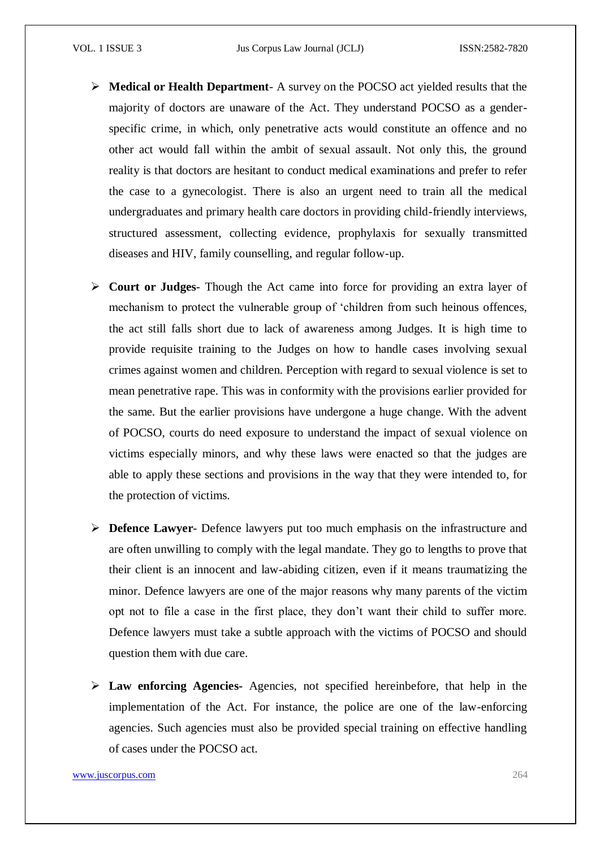- **Medical or Health Department** A survey on the POCSO act yielded results that the majority of doctors are unaware of the Act. They understand POCSO as a genderspecific crime, in which, only penetrative acts would constitute an offence and no other act would fall within the ambit of sexual assault. Not only this, the ground reality is that doctors are hesitant to conduct medical examinations and prefer to refer the case to a gynecologist. There is also an urgent need to train all the medical undergraduates and primary health care doctors in providing child-friendly interviews, structured assessment, collecting evidence, prophylaxis for sexually transmitted diseases and HIV, family counselling, and regular follow-up.
- **Court or Judges** Though the Act came into force for providing an extra layer of mechanism to protect the vulnerable group of 'children from such heinous offences, the act still falls short due to lack of awareness among Judges. It is high time to provide requisite training to the Judges on how to handle cases involving sexual crimes against women and children. Perception with regard to sexual violence is set to mean penetrative rape. This was in conformity with the provisions earlier provided for the same. But the earlier provisions have undergone a huge change. With the advent of POCSO, courts do need exposure to understand the impact of sexual violence on victims especially minors, and why these laws were enacted so that the judges are able to apply these sections and provisions in the way that they were intended to, for the protection of victims.
- **Defence Lawyer** Defence lawyers put too much emphasis on the infrastructure and are often unwilling to comply with the legal mandate. They go to lengths to prove that their client is an innocent and law-abiding citizen, even if it means traumatizing the minor. Defence lawyers are one of the major reasons why many parents of the victim opt not to file a case in the first place, they don't want their child to suffer more. Defence lawyers must take a subtle approach with the victims of POCSO and should question them with due care.
- **Law enforcing Agencies-** Agencies, not specified hereinbefore, that help in the implementation of the Act. For instance, the police are one of the law-enforcing agencies. Such agencies must also be provided special training on effective handling of cases under the POCSO act.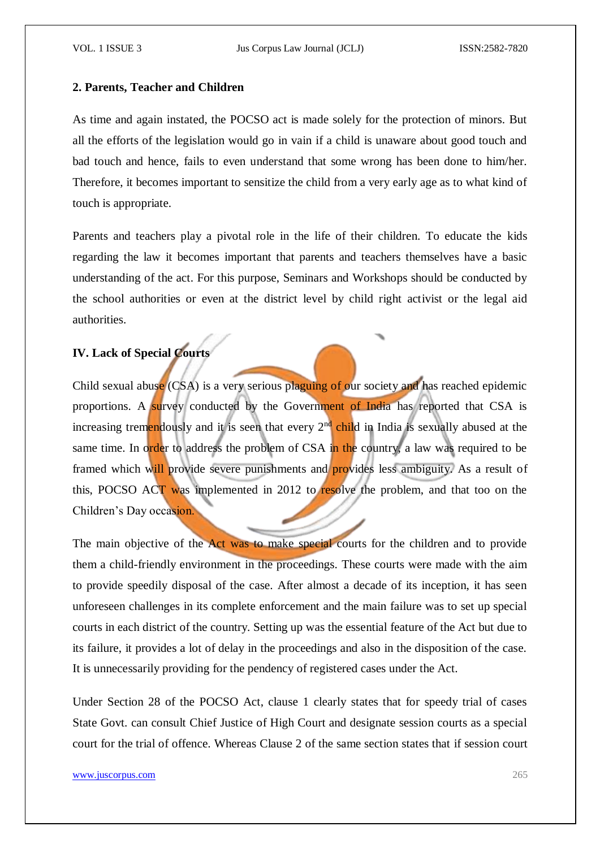#### **2. Parents, Teacher and Children**

As time and again instated, the POCSO act is made solely for the protection of minors. But all the efforts of the legislation would go in vain if a child is unaware about good touch and bad touch and hence, fails to even understand that some wrong has been done to him/her. Therefore, it becomes important to sensitize the child from a very early age as to what kind of touch is appropriate.

Parents and teachers play a pivotal role in the life of their children. To educate the kids regarding the law it becomes important that parents and teachers themselves have a basic understanding of the act. For this purpose, Seminars and Workshops should be conducted by the school authorities or even at the district level by child right activist or the legal aid authorities.

# **IV. Lack of Special Courts**

Child sexual abuse (CSA) is a very serious plaguing of our society and has reached epidemic proportions. A survey conducted by the Government of India has reported that CSA is increasing tremendously and it is seen that every  $2<sup>nd</sup>$  child in India is sexually abused at the same time. In order to address the problem of CSA in the country, a law was required to be framed which will provide severe punishments and provides less ambiguity. As a result of this, POCSO ACT was implemented in 2012 to resolve the problem, and that too on the Children's Day occasion.

The main objective of the Act was to make special courts for the children and to provide them a child-friendly environment in the proceedings. These courts were made with the aim to provide speedily disposal of the case. After almost a decade of its inception, it has seen unforeseen challenges in its complete enforcement and the main failure was to set up special courts in each district of the country. Setting up was the essential feature of the Act but due to its failure, it provides a lot of delay in the proceedings and also in the disposition of the case. It is unnecessarily providing for the pendency of registered cases under the Act.

Under Section 28 of the POCSO Act, clause 1 clearly states that for speedy trial of cases State Govt. can consult Chief Justice of High Court and designate session courts as a special court for the trial of offence. Whereas Clause 2 of the same section states that if session court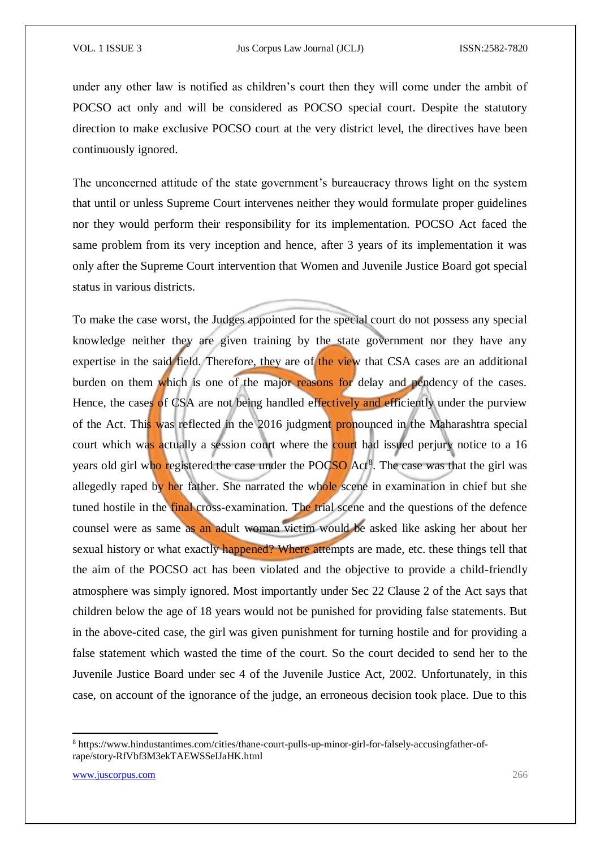under any other law is notified as children's court then they will come under the ambit of POCSO act only and will be considered as POCSO special court. Despite the statutory direction to make exclusive POCSO court at the very district level, the directives have been continuously ignored.

The unconcerned attitude of the state government's bureaucracy throws light on the system that until or unless Supreme Court intervenes neither they would formulate proper guidelines nor they would perform their responsibility for its implementation. POCSO Act faced the same problem from its very inception and hence, after 3 years of its implementation it was only after the Supreme Court intervention that Women and Juvenile Justice Board got special status in various districts.

To make the case worst, the Judges appointed for the special court do not possess any special knowledge neither they are given training by the state government nor they have any expertise in the said field. Therefore, they are of the view that CSA cases are an additional burden on them which is one of the major reasons for delay and pendency of the cases. Hence, the cases of CSA are not being handled effectively and efficiently under the purview of the Act. This was reflected in the 2016 judgment pronounced in the Maharashtra special court which was actually a session court where the court had issued perjury notice to a 16 years old girl who registered the case under the POCSO Act<sup>8</sup>. The case was that the girl was allegedly raped by her father. She narrated the whole scene in examination in chief but she tuned hostile in the final cross-examination. The trial scene and the questions of the defence counsel were as same as an adult woman victim would be asked like asking her about her sexual history or what exactly happened? Where attempts are made, etc. these things tell that the aim of the POCSO act has been violated and the objective to provide a child-friendly atmosphere was simply ignored. Most importantly under Sec 22 Clause 2 of the Act says that children below the age of 18 years would not be punished for providing false statements. But in the above-cited case, the girl was given punishment for turning hostile and for providing a false statement which wasted the time of the court. So the court decided to send her to the Juvenile Justice Board under sec 4 of the Juvenile Justice Act, 2002. Unfortunately, in this case, on account of the ignorance of the judge, an erroneous decision took place. Due to this

<sup>8</sup> https://www.hindustantimes.com/cities/thane-court-pulls-up-minor-girl-for-falsely-accusingfather-ofrape/story-RfVbf3M3ekTAEWSSeIJaHK.html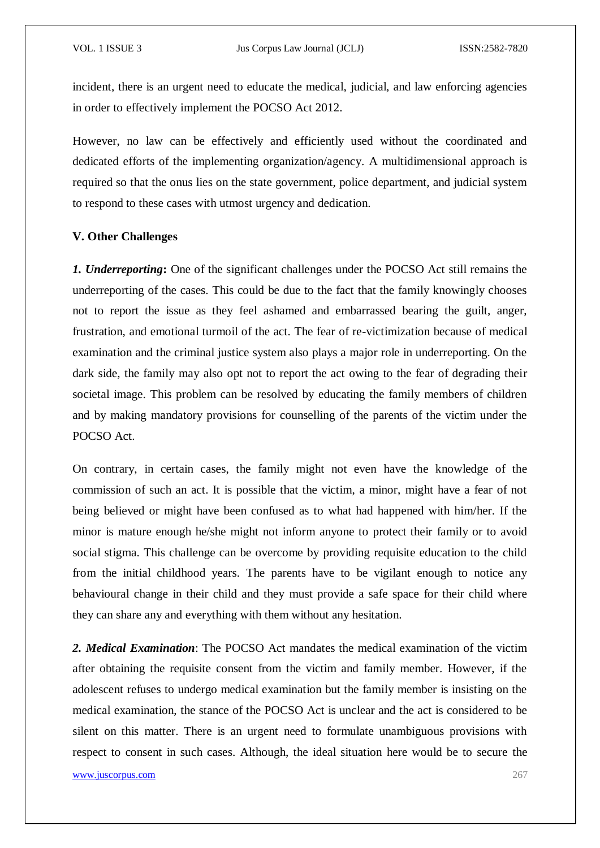incident, there is an urgent need to educate the medical, judicial, and law enforcing agencies in order to effectively implement the POCSO Act 2012.

However, no law can be effectively and efficiently used without the coordinated and dedicated efforts of the implementing organization/agency. A multidimensional approach is required so that the onus lies on the state government, police department, and judicial system to respond to these cases with utmost urgency and dedication.

#### **V. Other Challenges**

*1. Underreporting***:** One of the significant challenges under the POCSO Act still remains the underreporting of the cases. This could be due to the fact that the family knowingly chooses not to report the issue as they feel ashamed and embarrassed bearing the guilt, anger, frustration, and emotional turmoil of the act. The fear of re-victimization because of medical examination and the criminal justice system also plays a major role in underreporting. On the dark side, the family may also opt not to report the act owing to the fear of degrading their societal image. This problem can be resolved by educating the family members of children and by making mandatory provisions for counselling of the parents of the victim under the POCSO Act.

On contrary, in certain cases, the family might not even have the knowledge of the commission of such an act. It is possible that the victim, a minor, might have a fear of not being believed or might have been confused as to what had happened with him/her. If the minor is mature enough he/she might not inform anyone to protect their family or to avoid social stigma. This challenge can be overcome by providing requisite education to the child from the initial childhood years. The parents have to be vigilant enough to notice any behavioural change in their child and they must provide a safe space for their child where they can share any and everything with them without any hesitation.

*2. Medical Examination*: The POCSO Act mandates the medical examination of the victim after obtaining the requisite consent from the victim and family member. However, if the adolescent refuses to undergo medical examination but the family member is insisting on the medical examination, the stance of the POCSO Act is unclear and the act is considered to be silent on this matter. There is an urgent need to formulate unambiguous provisions with respect to consent in such cases. Although, the ideal situation here would be to secure the

www.juscorpus.com 267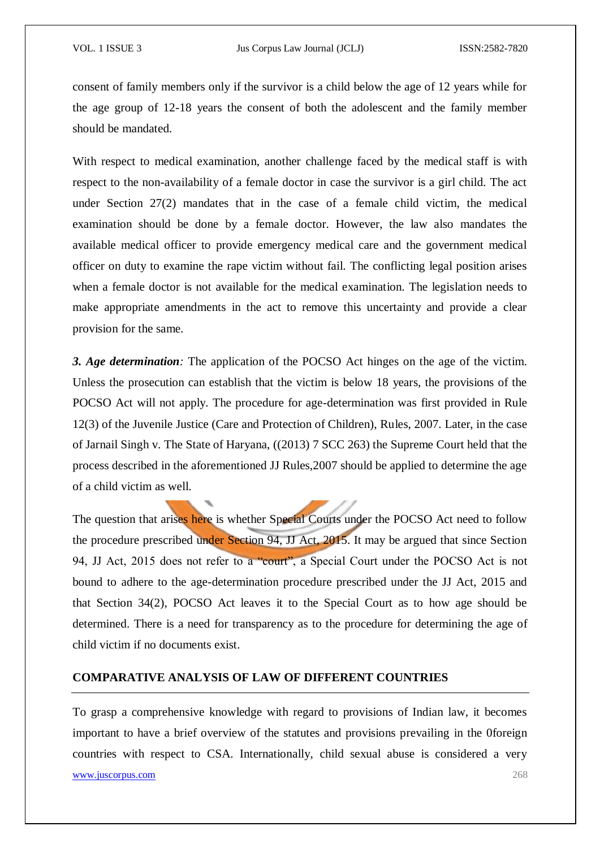consent of family members only if the survivor is a child below the age of 12 years while for the age group of 12-18 years the consent of both the adolescent and the family member should be mandated.

With respect to medical examination, another challenge faced by the medical staff is with respect to the non-availability of a female doctor in case the survivor is a girl child. The act under Section 27(2) mandates that in the case of a female child victim, the medical examination should be done by a female doctor. However, the law also mandates the available medical officer to provide emergency medical care and the government medical officer on duty to examine the rape victim without fail. The conflicting legal position arises when a female doctor is not available for the medical examination. The legislation needs to make appropriate amendments in the act to remove this uncertainty and provide a clear provision for the same.

*3. Age determination:* The application of the POCSO Act hinges on the age of the victim. Unless the prosecution can establish that the victim is below 18 years, the provisions of the POCSO Act will not apply. The procedure for age-determination was first provided in Rule 12(3) of the Juvenile Justice (Care and Protection of Children), Rules, 2007. Later, in the case of Jarnail Singh v. The State of Haryana, ((2013) 7 SCC 263) the Supreme Court held that the process described in the aforementioned JJ Rules,2007 should be applied to determine the age of a child victim as well.

The question that arises here is whether Special Courts under the POCSO Act need to follow the procedure prescribed under Section 94, JJ Act, 2015. It may be argued that since Section 94, JJ Act, 2015 does not refer to a "court", a Special Court under the POCSO Act is not bound to adhere to the age-determination procedure prescribed under the JJ Act, 2015 and that Section 34(2), POCSO Act leaves it to the Special Court as to how age should be determined. There is a need for transparency as to the procedure for determining the age of child victim if no documents exist.

## **COMPARATIVE ANALYSIS OF LAW OF DIFFERENT COUNTRIES**

To grasp a comprehensive knowledge with regard to provisions of Indian law, it becomes important to have a brief overview of the statutes and provisions prevailing in the 0foreign countries with respect to CSA. Internationally, child sexual abuse is considered a very

www.juscorpus.com 268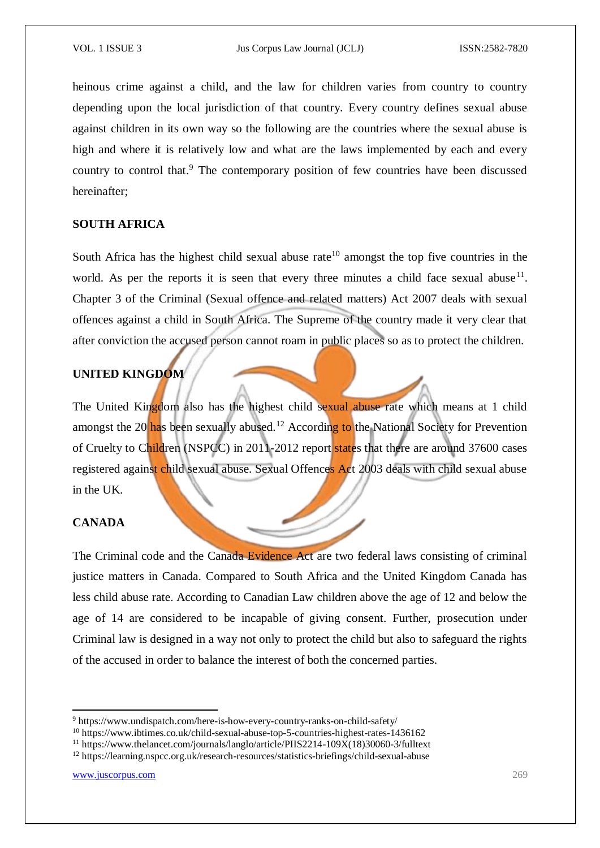heinous crime against a child, and the law for children varies from country to country depending upon the local jurisdiction of that country. Every country defines sexual abuse against children in its own way so the following are the countries where the sexual abuse is high and where it is relatively low and what are the laws implemented by each and every country to control that.<sup>9</sup> The contemporary position of few countries have been discussed hereinafter;

### **SOUTH AFRICA**

South Africa has the highest child sexual abuse rate<sup>10</sup> amongst the top five countries in the world. As per the reports it is seen that every three minutes a child face sexual abuse<sup>11</sup>. Chapter 3 of the Criminal (Sexual offence and related matters) Act 2007 deals with sexual offences against a child in South Africa. The Supreme of the country made it very clear that after conviction the accused person cannot roam in public places so as to protect the children.

# **UNITED KINGDOM**

The United Kingdom also has the highest child sexual abuse rate which means at 1 child amongst the 20 has been sexually abused.<sup>12</sup> According to the National Society for Prevention of Cruelty to Children (NSPCC) in 2011-2012 report states that there are around 37600 cases registered against child sexual abuse. Sexual Offences Act 2003 deals with child sexual abuse in the UK.

## **CANADA**

The Criminal code and the Canada Evidence Act are two federal laws consisting of criminal justice matters in Canada. Compared to South Africa and the United Kingdom Canada has less child abuse rate. According to Canadian Law children above the age of 12 and below the age of 14 are considered to be incapable of giving consent. Further, prosecution under Criminal law is designed in a way not only to protect the child but also to safeguard the rights of the accused in order to balance the interest of both the concerned parties.

**.** 

<sup>9</sup> https://www.undispatch.com/here-is-how-every-country-ranks-on-child-safety/

<sup>10</sup> https://www.ibtimes.co.uk/child-sexual-abuse-top-5-countries-highest-rates-1436162

<sup>&</sup>lt;sup>11</sup> https://www.thelancet.com/journals/langlo/article/PIIS2214-109 $\tilde{X}$ (18)30060-3/fulltext

<sup>12</sup> https://learning.nspcc.org.uk/research-resources/statistics-briefings/child-sexual-abuse